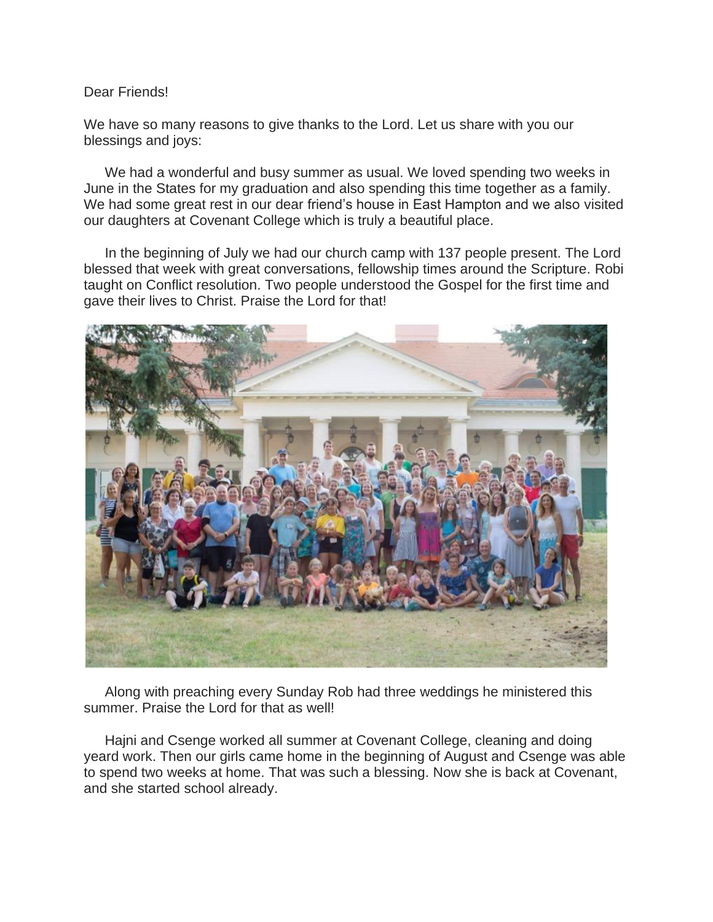Dear Friends!

We have so many reasons to give thanks to the Lord. Let us share with you our blessings and joys:

We had a wonderful and busy summer as usual. We loved spending two weeks in June in the States for my graduation and also spending this time together as a family. We had some great rest in our dear friend's house in East Hampton and we also visited our daughters at Covenant College which is truly a beautiful place.

In the beginning of July we had our church camp with 137 people present. The Lord blessed that week with great conversations, fellowship times around the Scripture. Robi taught on Conflict resolution. Two people understood the Gospel for the first time and gave their lives to Christ. Praise the Lord for that!



Along with preaching every Sunday Rob had three weddings he ministered this summer. Praise the Lord for that as well!

Hajni and Csenge worked all summer at Covenant College, cleaning and doing yeard work. Then our girls came home in the beginning of August and Csenge was able to spend two weeks at home. That was such a blessing. Now she is back at Covenant, and she started school already.